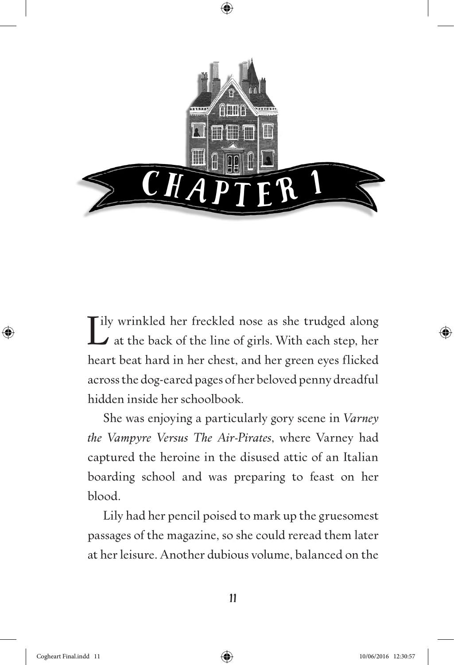

Lily wrinkled her freckled nose as she trudged along<br>  $\Delta$  at the back of the line of girls. With each step, her Ily wrinkled her freckled nose as she trudged along heart beat hard in her chest, and her green eyes flicked across the dog-eared pages of her beloved penny dreadful hidden inside her schoolbook*.*

She was enjoying a particularly gory scene in *Varney the Vampyre Versus The Air-Pirates*, where Varney had captured the heroine in the disused attic of an Italian boarding school and was preparing to feast on her blood.

Lily had her pencil poised to mark up the gruesomest passages of the magazine, so she could reread them later at her leisure. Another dubious volume, balanced on the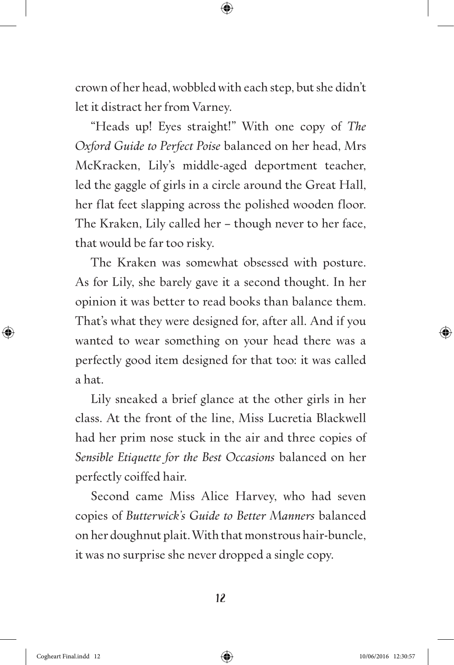crown of her head, wobbled with each step, but she didn't let it distract her from Varney.

"Heads up! Eyes straight!" With one copy of *The Oxford Guide to Perfect Poise* balanced on her head, Mrs McKracken, Lily's middle-aged deportment teacher, led the gaggle of girls in a circle around the Great Hall, her flat feet slapping across the polished wooden floor. The Kraken, Lily called her – though never to her face, that would be far too risky.

The Kraken was somewhat obsessed with posture. As for Lily, she barely gave it a second thought. In her opinion it was better to read books than balance them. That's what they were designed for, after all. And if you wanted to wear something on your head there was a perfectly good item designed for that too: it was called a hat.

Lily sneaked a brief glance at the other girls in her class. At the front of the line, Miss Lucretia Blackwell had her prim nose stuck in the air and three copies of *Sensible Etiquette for the Best Occasions* balanced on her perfectly coiffed hair.

Second came Miss Alice Harvey, who had seven copies of *Butterwick's Guide to Better Manners* balanced on her doughnut plait. With that monstrous hair-buncle, it was no surprise she never dropped a single copy.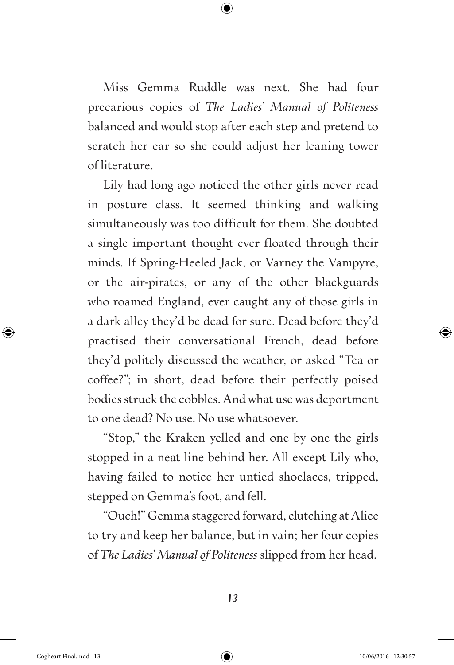Miss Gemma Ruddle was next. She had four precarious copies of *The Ladies' Manual of Politeness* balanced and would stop after each step and pretend to scratch her ear so she could adjust her leaning tower of literature.

Lily had long ago noticed the other girls never read in posture class. It seemed thinking and walking simultaneously was too difficult for them. She doubted a single important thought ever floated through their minds. If Spring-Heeled Jack, or Varney the Vampyre, or the air-pirates, or any of the other blackguards who roamed England, ever caught any of those girls in a dark alley they'd be dead for sure. Dead before they'd practised their conversational French, dead before they'd politely discussed the weather, or asked "Tea or coffee?"; in short, dead before their perfectly poised bodies struck the cobbles. And what use was deportment to one dead? No use. No use whatsoever.

"Stop," the Kraken yelled and one by one the girls stopped in a neat line behind her. All except Lily who, having failed to notice her untied shoelaces, tripped, stepped on Gemma's foot, and fell.

"Ouch!" Gemma staggered forward, clutching at Alice to try and keep her balance, but in vain; her four copies of *The Ladies' Manual of Politeness* slipped from her head.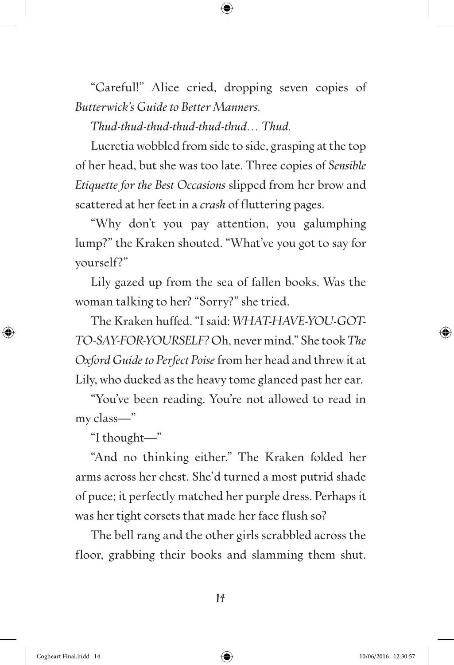"Careful!" Alice cried, dropping seven copies of *Butterwick's Guide to Better Manners.*

*Thud-thud-thud-thud-thud-thud… Thud.*

Lucretia wobbled from side to side, grasping at the top of her head, but she was too late. Three copies of *Sensible Etiquette for the Best Occasions* slipped from her brow and scattered at her feet in a *crash* of fluttering pages.

"Why don't you pay attention, you galumphing lump?" the Kraken shouted. "What've you got to say for yourself?"

Lily gazed up from the sea of fallen books. Was the woman talking to her? "Sorry?" she tried.

The Kraken huffed. "I said: *WHAT-HAVE-YOU-GOT-TO-SAY-FOR-YOURSELF?* Oh, never mind." She took *The Oxford Guide to Perfect Poise* from her head and threw it at Lily, who ducked as the heavy tome glanced past her ear.

"You've been reading. You're not allowed to read in my class—"

"I thought—"

"And no thinking either." The Kraken folded her arms across her chest. She'd turned a most putrid shade of puce; it perfectly matched her purple dress. Perhaps it was her tight corsets that made her face flush so?

The bell rang and the other girls scrabbled across the floor, grabbing their books and slamming them shut.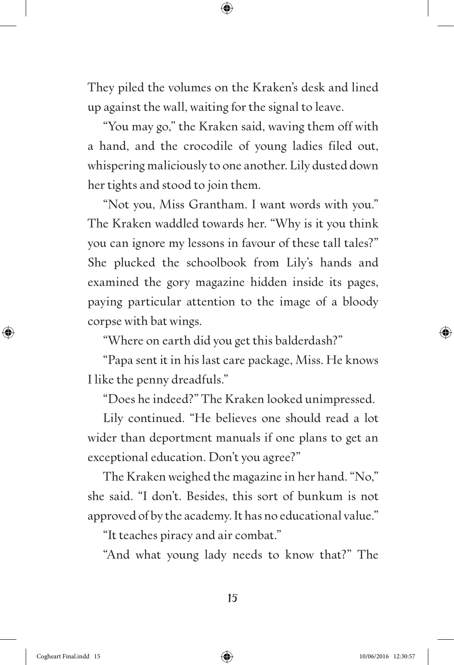They piled the volumes on the Kraken's desk and lined up against the wall, waiting for the signal to leave.

"You may go," the Kraken said, waving them off with a hand, and the crocodile of young ladies filed out, whispering maliciously to one another. Lily dusted down her tights and stood to join them.

"Not you, Miss Grantham. I want words with you." The Kraken waddled towards her. "Why is it you think you can ignore my lessons in favour of these tall tales?" She plucked the schoolbook from Lily's hands and examined the gory magazine hidden inside its pages, paying particular attention to the image of a bloody corpse with bat wings.

"Where on earth did you get this balderdash?"

"Papa sent it in his last care package, Miss. He knows I like the penny dreadfuls."

"Does he indeed?" The Kraken looked unimpressed.

Lily continued. "He believes one should read a lot wider than deportment manuals if one plans to get an exceptional education. Don't you agree?"

The Kraken weighed the magazine in her hand. "No," she said. "I don't. Besides, this sort of bunkum is not approved of by the academy. It has no educational value."

"It teaches piracy and air combat."

"And what young lady needs to know that?" The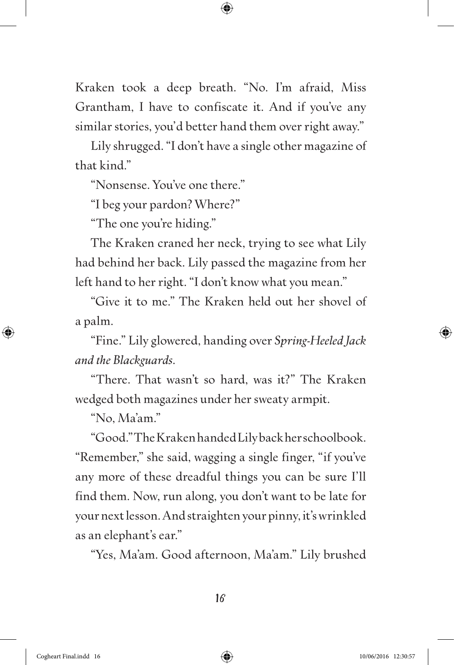Kraken took a deep breath. "No. I'm afraid, Miss Grantham, I have to confiscate it. And if you've any similar stories, you'd better hand them over right away."

Lily shrugged. "I don't have a single other magazine of that kind."

"Nonsense. You've one there."

"I beg your pardon? Where?"

"The one you're hiding."

The Kraken craned her neck, trying to see what Lily had behind her back. Lily passed the magazine from her left hand to her right. "I don't know what you mean."

"Give it to me." The Kraken held out her shovel of a palm.

"Fine." Lily glowered, handing over *Spring-Heeled Jack and the Blackguards*.

"There. That wasn't so hard, was it?" The Kraken wedged both magazines under her sweaty armpit.

"No, Ma'am."

"Good." The Kraken handed Lily back her schoolbook. "Remember," she said, wagging a single finger, "if you've any more of these dreadful things you can be sure I'll find them. Now, run along, you don't want to be late for your next lesson. And straighten your pinny, it's wrinkled as an elephant's ear."

"Yes, Ma'am. Good afternoon, Ma'am." Lily brushed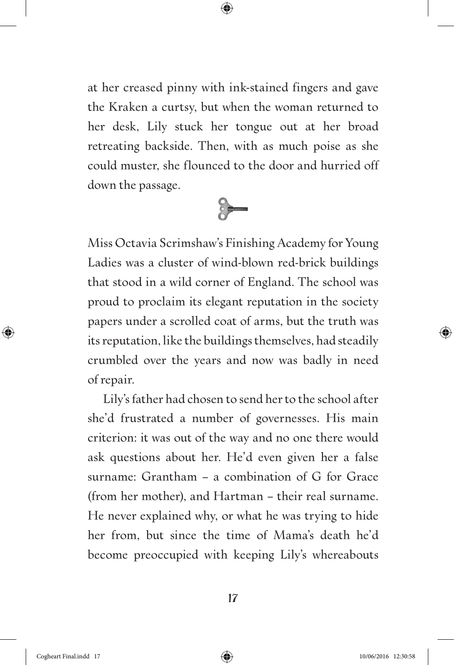at her creased pinny with ink-stained fingers and gave the Kraken a curtsy, but when the woman returned to her desk, Lily stuck her tongue out at her broad retreating backside. Then, with as much poise as she could muster, she flounced to the door and hurried off down the passage.



Miss Octavia Scrimshaw's Finishing Academy for Young Ladies was a cluster of wind-blown red-brick buildings that stood in a wild corner of England. The school was proud to proclaim its elegant reputation in the society papers under a scrolled coat of arms, but the truth was its reputation, like the buildings themselves, had steadily crumbled over the years and now was badly in need of repair.

Lily's father had chosen to send her to the school after she'd frustrated a number of governesses. His main criterion: it was out of the way and no one there would ask questions about her. He'd even given her a false surname: Grantham – a combination of G for Grace (from her mother), and Hartman – their real surname. He never explained why, or what he was trying to hide her from, but since the time of Mama's death he'd become preoccupied with keeping Lily's whereabouts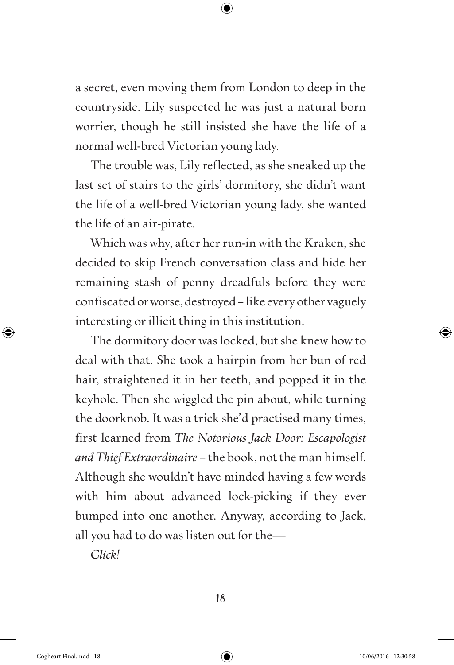a secret, even moving them from London to deep in the countryside. Lily suspected he was just a natural born worrier, though he still insisted she have the life of a normal well-bred Victorian young lady.

The trouble was, Lily reflected, as she sneaked up the last set of stairs to the girls' dormitory, she didn't want the life of a well-bred Victorian young lady, she wanted the life of an air-pirate.

Which was why, after her run-in with the Kraken, she decided to skip French conversation class and hide her remaining stash of penny dreadfuls before they were confiscated or worse, destroyed – like every other vaguely interesting or illicit thing in this institution.

The dormitory door was locked, but she knew how to deal with that. She took a hairpin from her bun of red hair, straightened it in her teeth, and popped it in the keyhole. Then she wiggled the pin about, while turning the doorknob. It was a trick she'd practised many times, first learned from *The Notorious Jack Door: Escapologist and Thief Extraordinaire* – the book, not the man himself. Although she wouldn't have minded having a few words with him about advanced lock-picking if they ever bumped into one another. Anyway, according to Jack, all you had to do was listen out for the—

*Click!*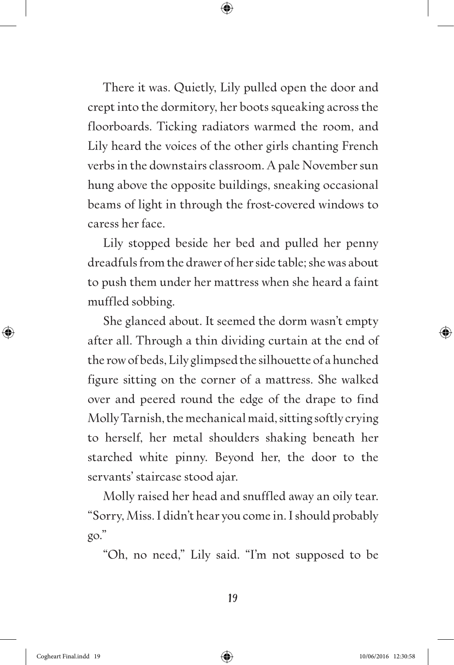There it was. Quietly, Lily pulled open the door and crept into the dormitory, her boots squeaking across the floorboards. Ticking radiators warmed the room, and Lily heard the voices of the other girls chanting French verbs in the downstairs classroom. A pale November sun hung above the opposite buildings, sneaking occasional beams of light in through the frost-covered windows to caress her face.

Lily stopped beside her bed and pulled her penny dreadfuls from the drawer of her side table; she was about to push them under her mattress when she heard a faint muffled sobbing.

She glanced about. It seemed the dorm wasn't empty after all. Through a thin dividing curtain at the end of the row of beds, Lily glimpsed the silhouette of a hunched figure sitting on the corner of a mattress. She walked over and peered round the edge of the drape to find Molly Tarnish, the mechanical maid, sitting softly crying to herself, her metal shoulders shaking beneath her starched white pinny. Beyond her, the door to the servants' staircase stood ajar.

Molly raised her head and snuffled away an oily tear. "Sorry, Miss. I didn't hear you come in. I should probably go."

"Oh, no need," Lily said. "I'm not supposed to be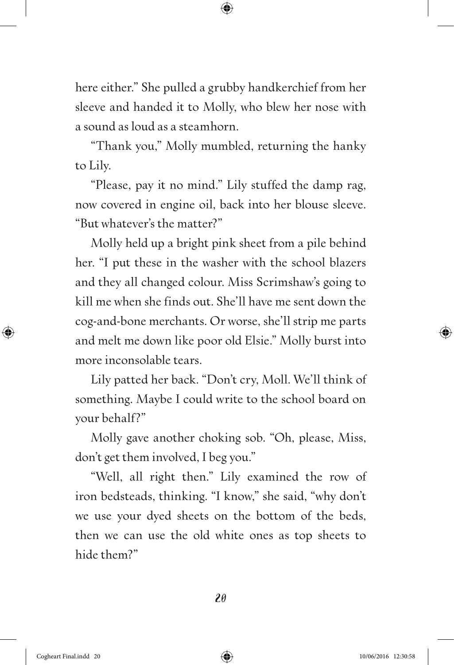here either." She pulled a grubby handkerchief from her sleeve and handed it to Molly, who blew her nose with a sound as loud as a steamhorn.

"Thank you," Molly mumbled, returning the hanky to Lily.

"Please, pay it no mind." Lily stuffed the damp rag, now covered in engine oil, back into her blouse sleeve. "But whatever's the matter?"

Molly held up a bright pink sheet from a pile behind her. "I put these in the washer with the school blazers and they all changed colour. Miss Scrimshaw's going to kill me when she finds out. She'll have me sent down the cog-and-bone merchants. Or worse, she'll strip me parts and melt me down like poor old Elsie." Molly burst into more inconsolable tears.

Lily patted her back. "Don't cry, Moll. We'll think of something. Maybe I could write to the school board on your behalf?"

Molly gave another choking sob. "Oh, please, Miss, don't get them involved, I beg you."

"Well, all right then." Lily examined the row of iron bedsteads, thinking. "I know," she said, "why don't we use your dyed sheets on the bottom of the beds, then we can use the old white ones as top sheets to hide them?"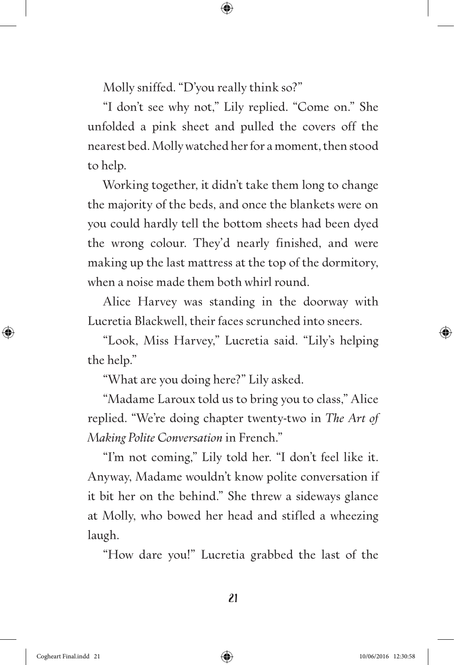Molly sniffed. "D'you really think so?"

"I don't see why not," Lily replied. "Come on." She unfolded a pink sheet and pulled the covers off the nearest bed. Molly watched her for a moment, then stood to help.

Working together, it didn't take them long to change the majority of the beds, and once the blankets were on you could hardly tell the bottom sheets had been dyed the wrong colour. They'd nearly finished, and were making up the last mattress at the top of the dormitory, when a noise made them both whirl round.

Alice Harvey was standing in the doorway with Lucretia Blackwell, their faces scrunched into sneers.

"Look, Miss Harvey," Lucretia said. "Lily's helping the help."

"What are you doing here?" Lily asked.

"Madame Laroux told us to bring you to class," Alice replied. "We're doing chapter twenty-two in *The Art of Making Polite Conversation* in French."

"I'm not coming," Lily told her. "I don't feel like it. Anyway, Madame wouldn't know polite conversation if it bit her on the behind." She threw a sideways glance at Molly, who bowed her head and stifled a wheezing laugh.

"How dare you!" Lucretia grabbed the last of the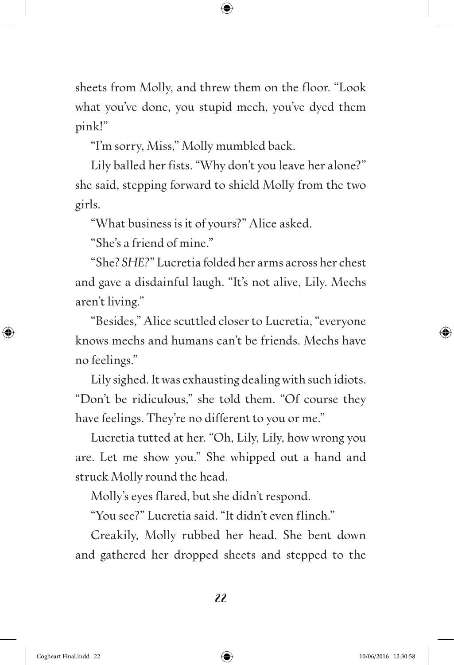sheets from Molly, and threw them on the floor. "Look what you've done, you stupid mech, you've dyed them pink!"

"I'm sorry, Miss," Molly mumbled back.

Lily balled her fists. "Why don't you leave her alone?" she said, stepping forward to shield Molly from the two girls.

"What business is it of yours?" Alice asked.

"She's a friend of mine."

"She? *SHE?*" Lucretia folded her arms across her chest and gave a disdainful laugh. "It's not alive, Lily. Mechs aren't living."

"Besides," Alice scuttled closer to Lucretia, "everyone knows mechs and humans can't be friends. Mechs have no feelings."

Lily sighed. It was exhausting dealing with such idiots. "Don't be ridiculous," she told them. "Of course they have feelings. They're no different to you or me."

Lucretia tutted at her. "Oh, Lily, Lily, how wrong you are. Let me show you." She whipped out a hand and struck Molly round the head.

Molly's eyes flared, but she didn't respond.

"You see?" Lucretia said. "It didn't even flinch."

Creakily, Molly rubbed her head. She bent down and gathered her dropped sheets and stepped to the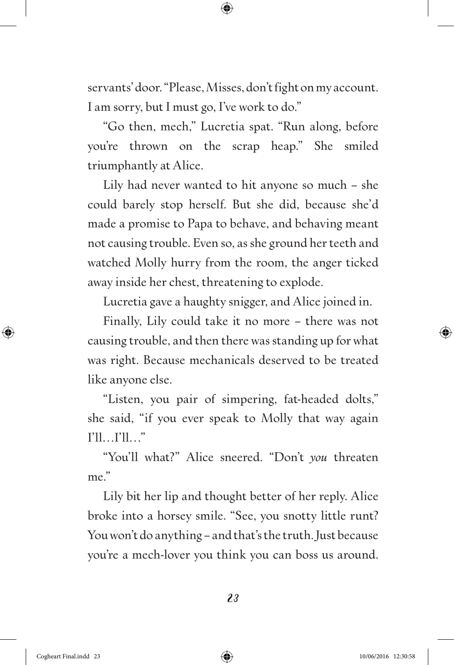servants' door. "Please, Misses, don't fight on my account. I am sorry, but I must go, I've work to do."

"Go then, mech," Lucretia spat. "Run along, before you're thrown on the scrap heap." She smiled triumphantly at Alice.

Lily had never wanted to hit anyone so much – she could barely stop herself. But she did, because she'd made a promise to Papa to behave, and behaving meant not causing trouble. Even so, as she ground her teeth and watched Molly hurry from the room, the anger ticked away inside her chest, threatening to explode.

Lucretia gave a haughty snigger, and Alice joined in.

Finally, Lily could take it no more – there was not causing trouble, and then there was standing up for what was right. Because mechanicals deserved to be treated like anyone else.

"Listen, you pair of simpering, fat-headed dolts," she said, "if you ever speak to Molly that way again I'll…I'll…"

"You'll what?" Alice sneered. "Don't *you* threaten me."

Lily bit her lip and thought better of her reply. Alice broke into a horsey smile. "See, you snotty little runt? You won't do anything – and that's the truth. Just because you're a mech-lover you think you can boss us around.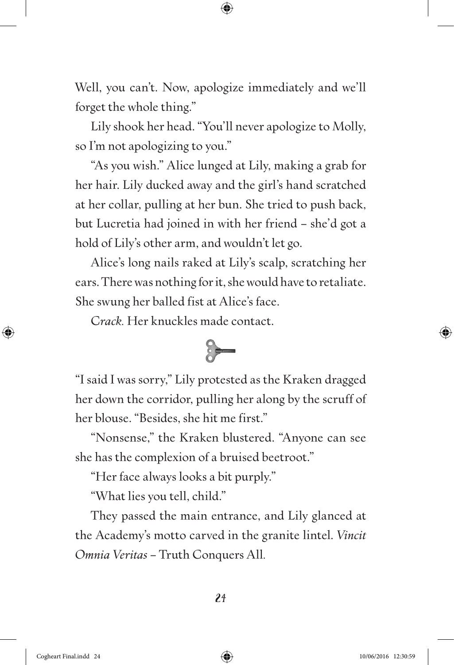Well, you can't. Now, apologize immediately and we'll forget the whole thing."

Lily shook her head. "You'll never apologize to Molly, so I'm not apologizing to you."

"As you wish." Alice lunged at Lily, making a grab for her hair. Lily ducked away and the girl's hand scratched at her collar, pulling at her bun. She tried to push back, but Lucretia had joined in with her friend – she'd got a hold of Lily's other arm, and wouldn't let go.

Alice's long nails raked at Lily's scalp, scratching her ears. There was nothing for it, she would have to retaliate. She swung her balled fist at Alice's face.

C*rack.* Her knuckles made contact.



"I said I was sorry," Lily protested as the Kraken dragged her down the corridor, pulling her along by the scruff of her blouse. "Besides, she hit me first."

"Nonsense," the Kraken blustered. "Anyone can see she has the complexion of a bruised beetroot."

"Her face always looks a bit purply."

"What lies you tell, child."

They passed the main entrance, and Lily glanced at the Academy's motto carved in the granite lintel. *Vincit Omnia Veritas* – Truth Conquers All*.*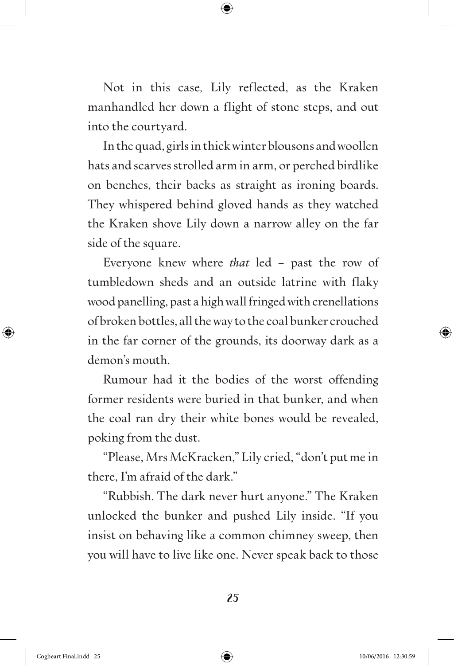Not in this case*,* Lily reflected, as the Kraken manhandled her down a flight of stone steps, and out into the courtyard.

In the quad, girls in thick winter blousons and woollen hats and scarves strolled arm in arm, or perched birdlike on benches, their backs as straight as ironing boards. They whispered behind gloved hands as they watched the Kraken shove Lily down a narrow alley on the far side of the square.

Everyone knew where *that* led – past the row of tumbledown sheds and an outside latrine with flaky wood panelling, past a high wall fringed with crenellations of broken bottles, all the way to the coal bunker crouched in the far corner of the grounds, its doorway dark as a demon's mouth.

Rumour had it the bodies of the worst offending former residents were buried in that bunker, and when the coal ran dry their white bones would be revealed, poking from the dust.

"Please, Mrs McKracken," Lily cried, "don't put me in there, I'm afraid of the dark."

"Rubbish. The dark never hurt anyone." The Kraken unlocked the bunker and pushed Lily inside. "If you insist on behaving like a common chimney sweep, then you will have to live like one. Never speak back to those